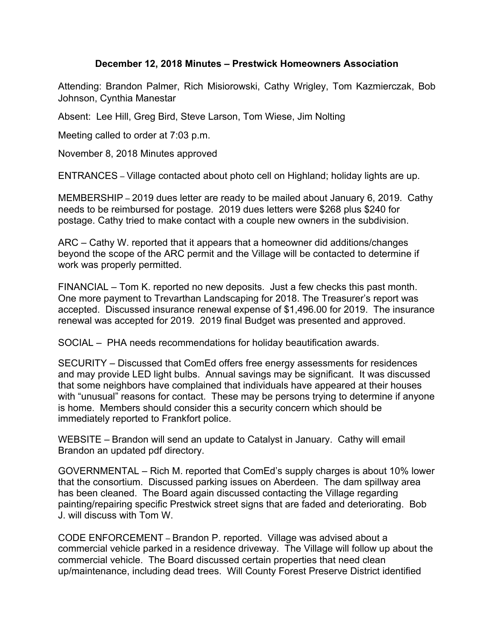## **December 12, 2018 Minutes – Prestwick Homeowners Association**

Attending: Brandon Palmer, Rich Misiorowski, Cathy Wrigley, Tom Kazmierczak, Bob Johnson, Cynthia Manestar

Absent: Lee Hill, Greg Bird, Steve Larson, Tom Wiese, Jim Nolting

Meeting called to order at 7:03 p.m.

November 8, 2018 Minutes approved

ENTRANCES – Village contacted about photo cell on Highland; holiday lights are up.

MEMBERSHIP – 2019 dues letter are ready to be mailed about January 6, 2019. Cathy needs to be reimbursed for postage. 2019 dues letters were \$268 plus \$240 for postage. Cathy tried to make contact with a couple new owners in the subdivision.

ARC – Cathy W. reported that it appears that a homeowner did additions/changes beyond the scope of the ARC permit and the Village will be contacted to determine if work was properly permitted.

FINANCIAL – Tom K. reported no new deposits. Just a few checks this past month. One more payment to Trevarthan Landscaping for 2018. The Treasurer's report was accepted. Discussed insurance renewal expense of \$1,496.00 for 2019. The insurance renewal was accepted for 2019. 2019 final Budget was presented and approved.

SOCIAL – PHA needs recommendations for holiday beautification awards.

SECURITY – Discussed that ComEd offers free energy assessments for residences and may provide LED light bulbs. Annual savings may be significant. It was discussed that some neighbors have complained that individuals have appeared at their houses with "unusual" reasons for contact. These may be persons trying to determine if anyone is home. Members should consider this a security concern which should be immediately reported to Frankfort police.

WEBSITE – Brandon will send an update to Catalyst in January. Cathy will email Brandon an updated pdf directory.

GOVERNMENTAL – Rich M. reported that ComEd's supply charges is about 10% lower that the consortium. Discussed parking issues on Aberdeen. The dam spillway area has been cleaned. The Board again discussed contacting the Village regarding painting/repairing specific Prestwick street signs that are faded and deteriorating. Bob J. will discuss with Tom W.

CODE ENFORCEMENT – Brandon P. reported. Village was advised about a commercial vehicle parked in a residence driveway. The Village will follow up about the commercial vehicle. The Board discussed certain properties that need clean up/maintenance, including dead trees. Will County Forest Preserve District identified